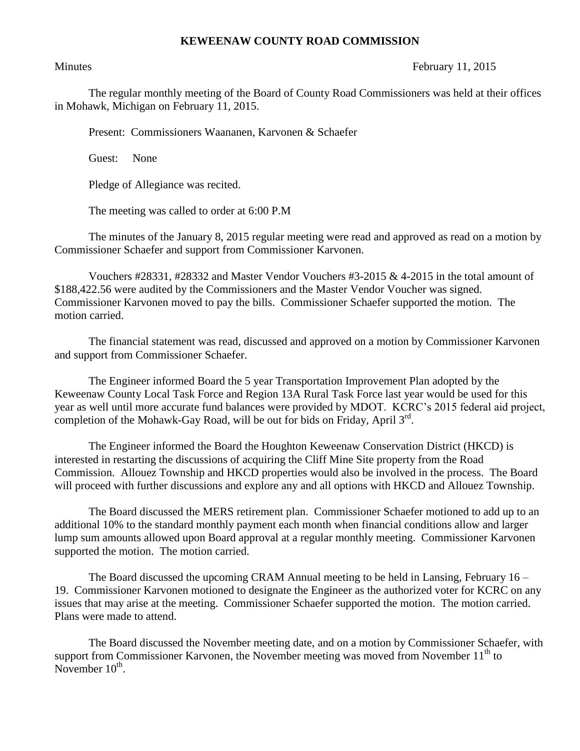## **KEWEENAW COUNTY ROAD COMMISSION**

## Minutes February 11, 2015

The regular monthly meeting of the Board of County Road Commissioners was held at their offices in Mohawk, Michigan on February 11, 2015.

Present: Commissioners Waananen, Karvonen & Schaefer

Guest: None

Pledge of Allegiance was recited.

The meeting was called to order at 6:00 P.M

The minutes of the January 8, 2015 regular meeting were read and approved as read on a motion by Commissioner Schaefer and support from Commissioner Karvonen.

Vouchers #28331, #28332 and Master Vendor Vouchers #3-2015 & 4-2015 in the total amount of \$188,422.56 were audited by the Commissioners and the Master Vendor Voucher was signed. Commissioner Karvonen moved to pay the bills. Commissioner Schaefer supported the motion. The motion carried.

The financial statement was read, discussed and approved on a motion by Commissioner Karvonen and support from Commissioner Schaefer.

The Engineer informed Board the 5 year Transportation Improvement Plan adopted by the Keweenaw County Local Task Force and Region 13A Rural Task Force last year would be used for this year as well until more accurate fund balances were provided by MDOT. KCRC's 2015 federal aid project, completion of the Mohawk-Gay Road, will be out for bids on Friday, April  $3<sup>rd</sup>$ .

The Engineer informed the Board the Houghton Keweenaw Conservation District (HKCD) is interested in restarting the discussions of acquiring the Cliff Mine Site property from the Road Commission. Allouez Township and HKCD properties would also be involved in the process. The Board will proceed with further discussions and explore any and all options with HKCD and Allouez Township.

The Board discussed the MERS retirement plan. Commissioner Schaefer motioned to add up to an additional 10% to the standard monthly payment each month when financial conditions allow and larger lump sum amounts allowed upon Board approval at a regular monthly meeting. Commissioner Karvonen supported the motion. The motion carried.

The Board discussed the upcoming CRAM Annual meeting to be held in Lansing, February 16 – 19. Commissioner Karvonen motioned to designate the Engineer as the authorized voter for KCRC on any issues that may arise at the meeting. Commissioner Schaefer supported the motion. The motion carried. Plans were made to attend.

The Board discussed the November meeting date, and on a motion by Commissioner Schaefer, with support from Commissioner Karvonen, the November meeting was moved from November  $11<sup>th</sup>$  to November  $10^{th}$ .